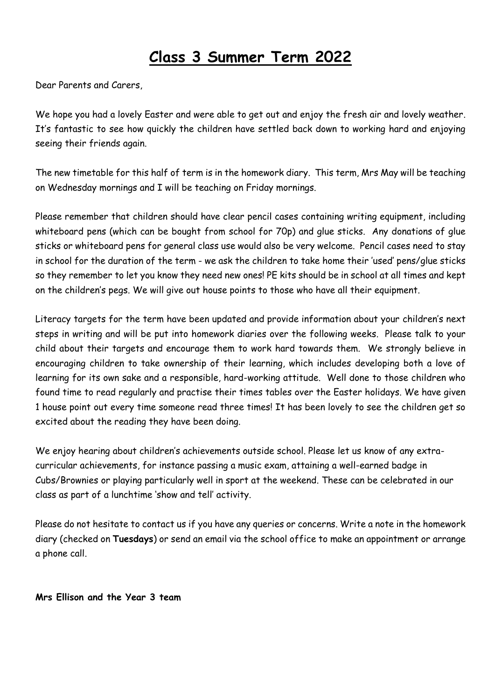# **Class 3 Summer Term 2022**

Dear Parents and Carers,

We hope you had a lovely Easter and were able to get out and enjoy the fresh air and lovely weather. It's fantastic to see how quickly the children have settled back down to working hard and enjoying seeing their friends again.

The new timetable for this half of term is in the homework diary. This term, Mrs May will be teaching on Wednesday mornings and I will be teaching on Friday mornings.

Please remember that children should have clear pencil cases containing writing equipment, including whiteboard pens (which can be bought from school for 70p) and glue sticks. Any donations of glue sticks or whiteboard pens for general class use would also be very welcome. Pencil cases need to stay in school for the duration of the term - we ask the children to take home their 'used' pens/glue sticks so they remember to let you know they need new ones! PE kits should be in school at all times and kept on the children's pegs. We will give out house points to those who have all their equipment.

Literacy targets for the term have been updated and provide information about your children's next steps in writing and will be put into homework diaries over the following weeks. Please talk to your child about their targets and encourage them to work hard towards them. We strongly believe in encouraging children to take ownership of their learning, which includes developing both a love of learning for its own sake and a responsible, hard-working attitude. Well done to those children who found time to read regularly and practise their times tables over the Easter holidays. We have given 1 house point out every time someone read three times! It has been lovely to see the children get so excited about the reading they have been doing.

We enjoy hearing about children's achievements outside school. Please let us know of any extracurricular achievements, for instance passing a music exam, attaining a well-earned badge in Cubs/Brownies or playing particularly well in sport at the weekend. These can be celebrated in our class as part of a lunchtime 'show and tell' activity.

Please do not hesitate to contact us if you have any queries or concerns. Write a note in the homework diary (checked on **Tuesdays**) or send an email via the school office to make an appointment or arrange a phone call.

**Mrs Ellison and the Year 3 team**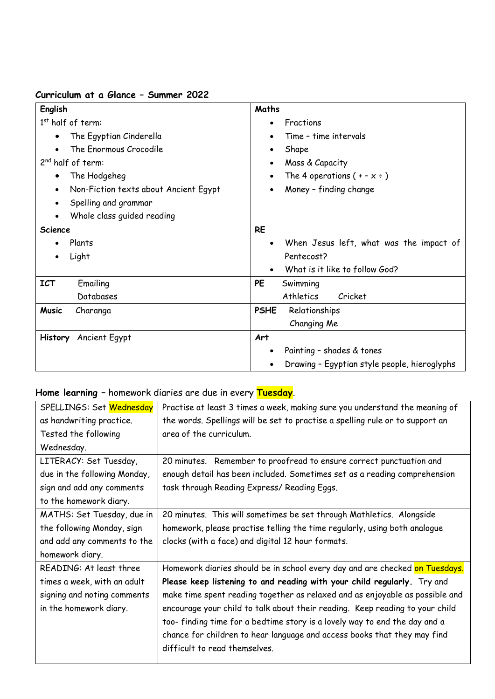#### **Curriculum at a Glance – Summer 2022**

| English                                            | Maths                                        |
|----------------------------------------------------|----------------------------------------------|
| $1st$ half of term:                                | Fractions                                    |
| The Egyptian Cinderella<br>$\bullet$               | Time - time intervals                        |
| The Enormous Crocodile                             | Shape<br>٠                                   |
| $2nd$ half of term:                                | Mass & Capacity                              |
| The Hodgeheg<br>$\bullet$                          | The 4 operations $(+ - x \div)$              |
| Non-Fiction texts about Ancient Egypt<br>$\bullet$ | Money - finding change                       |
| Spelling and grammar                               |                                              |
| Whole class guided reading                         |                                              |
| Science                                            | <b>RE</b>                                    |
| Plants                                             | When Jesus left, what was the impact of      |
| Light<br>$\bullet$                                 | Pentecost?                                   |
|                                                    | What is it like to follow God?               |
| Emailing<br><b>ICT</b>                             | <b>PE</b><br>Swimming                        |
| Databases                                          | Athletics<br>Cricket                         |
| <b>Music</b><br>Charanga                           | Relationships<br><b>PSHE</b>                 |
|                                                    | Changing Me                                  |
| History Ancient Egypt                              | Art                                          |
|                                                    | Painting - shades & tones                    |
|                                                    | Drawing - Egyptian style people, hieroglyphs |

## **Home learning –** homework diaries are due in every **Tuesday**.

| SPELLINGS: Set Wednesday     | Practise at least 3 times a week, making sure you understand the meaning of   |  |
|------------------------------|-------------------------------------------------------------------------------|--|
| as handwriting practice.     | the words. Spellings will be set to practise a spelling rule or to support an |  |
| Tested the following         | area of the curriculum.                                                       |  |
| Wednesday.                   |                                                                               |  |
| LITERACY: Set Tuesday,       | 20 minutes. Remember to proofread to ensure correct punctuation and           |  |
| due in the following Monday, | enough detail has been included. Sometimes set as a reading comprehension     |  |
| sign and add any comments    | task through Reading Express/ Reading Eggs.                                   |  |
| to the homework diary.       |                                                                               |  |
| MATHS: Set Tuesday, due in   | 20 minutes. This will sometimes be set through Mathletics. Alongside          |  |
| the following Monday, sign   | homework, please practise telling the time regularly, using both analogue     |  |
| and add any comments to the  | clocks (with a face) and digital 12 hour formats.                             |  |
| homework diary.              |                                                                               |  |
| READING: At least three      | Homework diaries should be in school every day and are checked on Tuesdays.   |  |
| times a week, with an adult  | Please keep listening to and reading with your child regularly. Try and       |  |
| signing and noting comments  | make time spent reading together as relaxed and as enjoyable as possible and  |  |
| in the homework diary.       | encourage your child to talk about their reading. Keep reading to your child  |  |
|                              | too-finding time for a bedtime story is a lovely way to end the day and a     |  |
|                              | chance for children to hear language and access books that they may find      |  |
|                              | difficult to read themselves.                                                 |  |
|                              |                                                                               |  |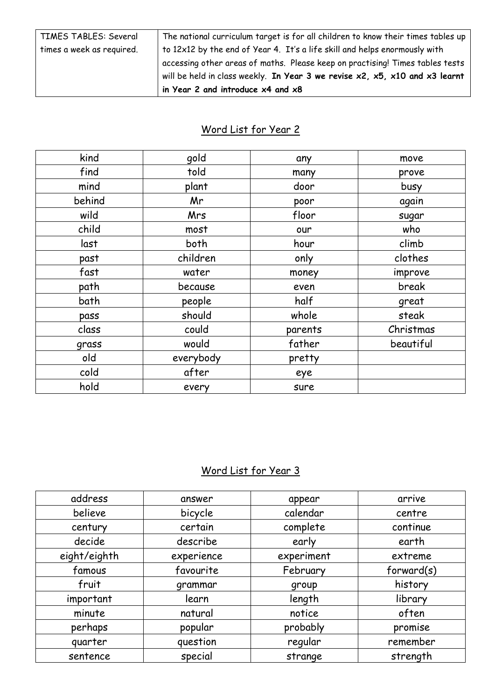| TIMES TABLES: Several     | The national curriculum target is for all children to know their times tables up            |
|---------------------------|---------------------------------------------------------------------------------------------|
| times a week as required. | to 12x12 by the end of Year 4. It's a life skill and helps enormously with                  |
|                           | accessing other areas of maths. Please keep on practising! Times tables tests               |
|                           | will be held in class weekly. In Year 3 we revise $x^2$ , $x^5$ , $x^{10}$ and $x^3$ learnt |
|                           | in Year 2 and introduce $x4$ and $x8$                                                       |

#### Word List for Year 2

| kind   | gold       | any     | move      |
|--------|------------|---------|-----------|
| find   | told       | many    | prove     |
| mind   | plant      | door    | busy      |
| behind | Mr         | poor    | again     |
| wild   | <b>Mrs</b> | floor   | sugar     |
| child  | most       | our     | who       |
| last   | both       | hour    | climb     |
| past   | children   | only    | clothes   |
| fast   | water      | money   | improve   |
| path   | because    | even    | break     |
| bath   | people     | half    | great     |
| pass   | should     | whole   | steak     |
| class  | could      | parents | Christmas |
| grass  | would      | father  | beautiful |
| old    | everybody  | pretty  |           |
| cold   | after      | eye     |           |
| hold   | every      | sure    |           |

## Word List for Year 3

| answer     | appear     | arrive     |
|------------|------------|------------|
| bicycle    | calendar   | centre     |
| certain    | complete   | continue   |
| describe   | early      | earth      |
| experience | experiment | extreme    |
| favourite  | February   | forward(s) |
| grammar    | group      | history    |
| learn      | length     | library    |
| natural    | notice     | often      |
| popular    | probably   | promise    |
| question   | regular    | remember   |
| special    | strange    | strength   |
|            |            |            |